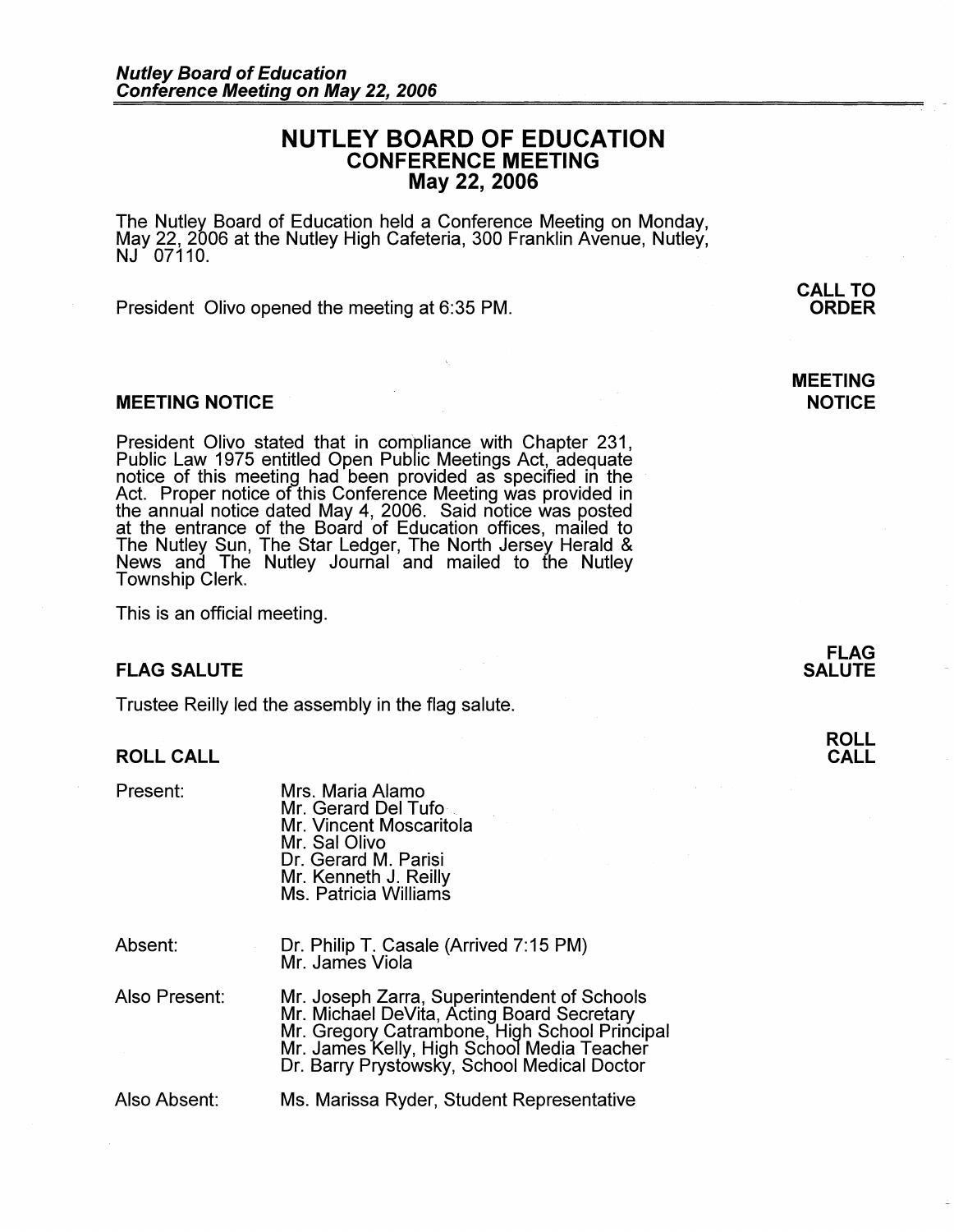# **NUTLEY BOARD OF EDUCATION CONFERENCE MEETING May 22, 2006**

The Nutley Board of Education held a Conference Meeting on Monday, May 22, 2006 at the Nutley High Cafeteria, 300 Franklin Avenue, Nutley, NJ 07110.

President Olivo opened the meeting at 6:35 PM.

#### **MEETING NOTICE**

President Olivo stated that in compliance with Chapter 231, Public Law 1975 entitled Open Public Meetings Act, adequate notice of this meeting had been provided as specified in the Act. Proper notice of this Conference Meeting was provided in the annual notice dated May 4, 2006. Said notice was posted at the entrance of the Board of Education offices, mailed to The Nutley Sun, The Star Ledger, The North Jersey Herald & News and The Nutley Journal and mailed to the Nutley Township Clerk.

This is an official meeting.

## **FLAG SALUTE**

Trustee Reilly led the assembly in the flag salute.

## **ROLL CALL**

Present:

| Present.      | iviis. Iviaria Alamo<br>Mr. Gerard Del Tufo<br>Mr. Vincent Moscaritola<br>Mr. Sal Olivo<br>Dr. Gerard M. Parisi<br>Mr. Kenneth J. Reilly<br>Ms. Patricia Williams |
|---------------|-------------------------------------------------------------------------------------------------------------------------------------------------------------------|
| Absent:       | Dr. Philip T. Casale (Arrived 7:15 PM)<br>Mr. James Viola                                                                                                         |
| Also Present: | Mr. Joseph Zarra, Superintendent of Sch                                                                                                                           |

Mus. Marie Alamos

Mr. Joseph Zarra, Superintendent of Schools Mr. Michael DeVita, Acting Board Secretary Mr. Gregory Catrambone, High School Principal Mr. James Kelly, High School Media Teacher Dr. Barry Prystowsky, School Medical Doctor

Also Absent:

Ms. Marissa Ryder, Student Representative

**ORDER** 

**CALL TO** 

## **MEETING NOTICE**

**FLAG SALUTE** 

## **ROLL CALL**